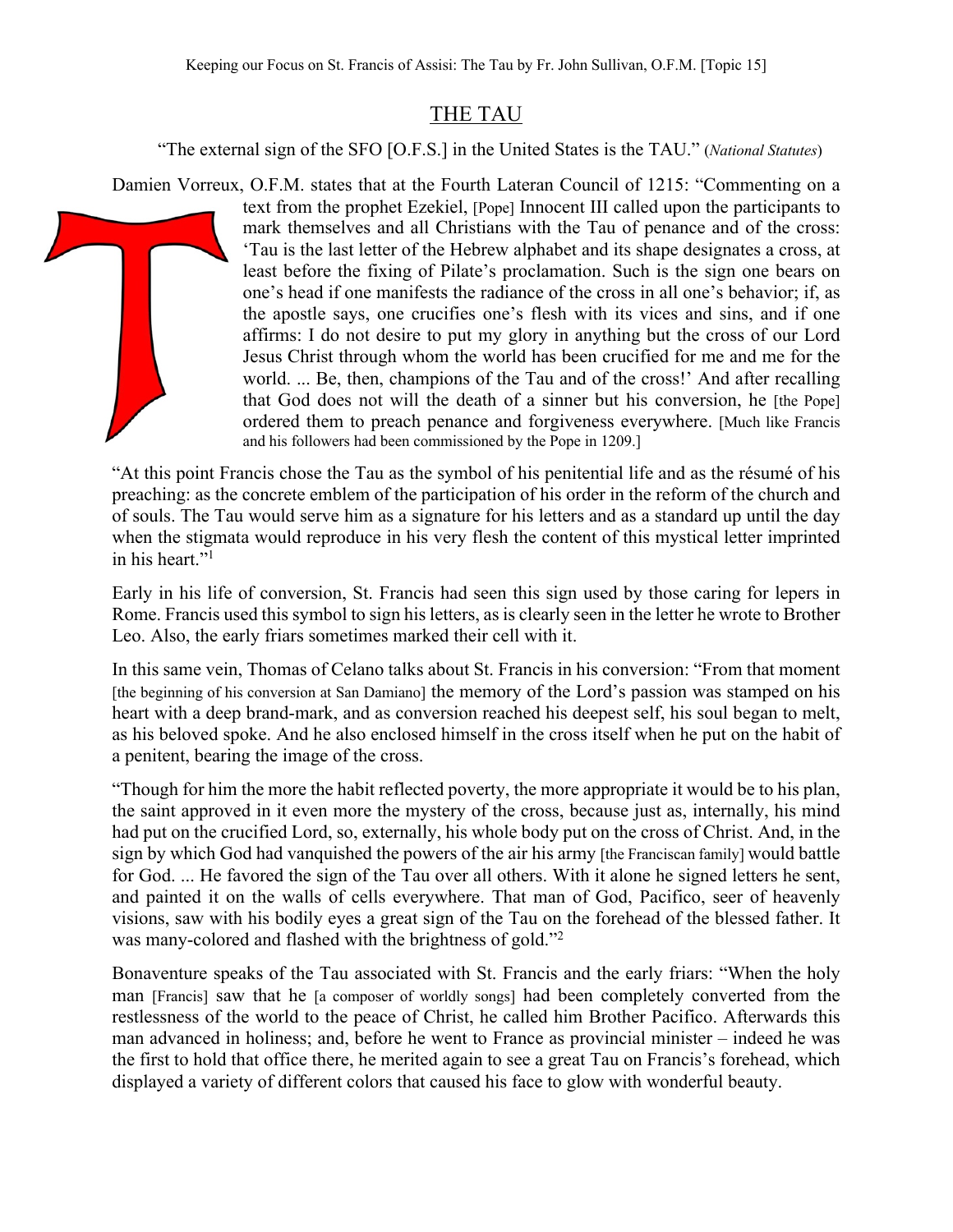## THE TAU

"The external sign of the SFO [O.F.S.] in the United States is the TAU." (*National Statutes*)

Damien Vorreux, O.F.M. states that at the Fourth Lateran Council of 1215: "Commenting on a

text from the prophet Ezekiel, [Pope] Innocent III called upon the participants to mark themselves and all Christians with the Tau of penance and of the cross: 'Tau is the last letter of the Hebrew alphabet and its shape designates a cross, at least before the fixing of Pilate's proclamation. Such is the sign one bears on one's head if one manifests the radiance of the cross in all one's behavior; if, as the apostle says, one crucifies one's flesh with its vices and sins, and if one affirms: I do not desire to put my glory in anything but the cross of our Lord Jesus Christ through whom the world has been crucified for me and me for the world. ... Be, then, champions of the Tau and of the cross!' And after recalling that God does not will the death of a sinner but his conversion, he [the Pope] ordered them to preach penance and forgiveness everywhere. [Much like Francis and his followers had been commissioned by the Pope in 1209.]

"At this point Francis chose the Tau as the symbol of his penitential life and as the résumé of his preaching: as the concrete emblem of the participation of his order in the reform of the church and of souls. The Tau would serve him as a signature for his letters and as a standard up until the day when the stigmata would reproduce in his very flesh the content of this mystical letter imprinted in his heart."<sup>1</sup>

Early in his life of conversion, St. Francis had seen this sign used by those caring for lepers in Rome. Francis used this symbol to sign his letters, as is clearly seen in the letter he wrote to Brother Leo. Also, the early friars sometimes marked their cell with it.

In this same vein, Thomas of Celano talks about St. Francis in his conversion: "From that moment [the beginning of his conversion at San Damiano] the memory of the Lord's passion was stamped on his heart with a deep brand-mark, and as conversion reached his deepest self, his soul began to melt, as his beloved spoke. And he also enclosed himself in the cross itself when he put on the habit of a penitent, bearing the image of the cross.

"Though for him the more the habit reflected poverty, the more appropriate it would be to his plan, the saint approved in it even more the mystery of the cross, because just as, internally, his mind had put on the crucified Lord, so, externally, his whole body put on the cross of Christ. And, in the sign by which God had vanquished the powers of the air his army [the Franciscan family] would battle for God. ... He favored the sign of the Tau over all others. With it alone he signed letters he sent, and painted it on the walls of cells everywhere. That man of God, Pacifico, seer of heavenly visions, saw with his bodily eyes a great sign of the Tau on the forehead of the blessed father. It was many-colored and flashed with the brightness of gold."2

Bonaventure speaks of the Tau associated with St. Francis and the early friars: "When the holy man [Francis] saw that he [a composer of worldly songs] had been completely converted from the restlessness of the world to the peace of Christ, he called him Brother Pacifico. Afterwards this man advanced in holiness; and, before he went to France as provincial minister – indeed he was the first to hold that office there, he merited again to see a great Tau on Francis's forehead, which displayed a variety of different colors that caused his face to glow with wonderful beauty.